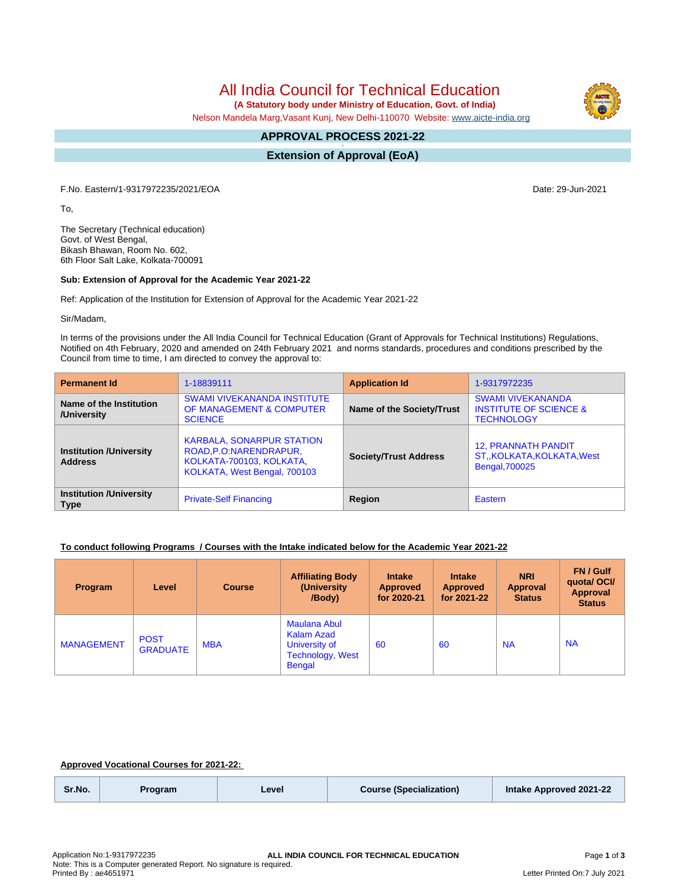All India Council for Technical Education

 **(A Statutory body under Ministry of Education, Govt. of India)**

Nelson Mandela Marg,Vasant Kunj, New Delhi-110070 Website: [www.aicte-india.org](http://www.aicte-india.org)

#### **APPROVAL PROCESS 2021-22 -**

**Extension of Approval (EoA)**

F.No. Eastern/1-9317972235/2021/EOA Date: 29-Jun-2021

To,

The Secretary (Technical education) Govt. of West Bengal, Bikash Bhawan, Room No. 602, 6th Floor Salt Lake, Kolkata-700091

### **Sub: Extension of Approval for the Academic Year 2021-22**

Ref: Application of the Institution for Extension of Approval for the Academic Year 2021-22

Sir/Madam,

In terms of the provisions under the All India Council for Technical Education (Grant of Approvals for Technical Institutions) Regulations, Notified on 4th February, 2020 and amended on 24th February 2021 and norms standards, procedures and conditions prescribed by the Council from time to time, I am directed to convey the approval to:

| <b>Permanent Id</b>                              | 1-18839111                                                                                                               | <b>Application Id</b>        | 1-9317972235                                                                       |
|--------------------------------------------------|--------------------------------------------------------------------------------------------------------------------------|------------------------------|------------------------------------------------------------------------------------|
| Name of the Institution<br>/University           | <b>SWAMI VIVEKANANDA INSTITUTE</b><br>OF MANAGEMENT & COMPUTER<br><b>SCIENCE</b>                                         | Name of the Society/Trust    | <b>SWAMI VIVEKANANDA</b><br><b>INSTITUTE OF SCIENCE &amp;</b><br><b>TECHNOLOGY</b> |
| <b>Institution /University</b><br><b>Address</b> | <b>KARBALA, SONARPUR STATION</b><br>ROAD, P.O.: NARENDRAPUR,<br>KOLKATA-700103, KOLKATA,<br>KOLKATA, West Bengal, 700103 | <b>Society/Trust Address</b> | <b>12, PRANNATH PANDIT</b><br>ST., KOLKATA, KOLKATA, West<br>Bengal, 700025        |
| <b>Institution /University</b><br><b>Type</b>    | <b>Private-Self Financing</b>                                                                                            | Region                       | Eastern                                                                            |

## **To conduct following Programs / Courses with the Intake indicated below for the Academic Year 2021-22**

| Program           | Level                          | <b>Course</b> | <b>Affiliating Body</b><br>(University)<br>/Body)                                              | <b>Intake</b><br><b>Approved</b><br>for 2020-21 | <b>Intake</b><br><b>Approved</b><br>for 2021-22 | <b>NRI</b><br>Approval<br><b>Status</b> | FN / Gulf<br>quotal OCI/<br><b>Approval</b><br><b>Status</b> |
|-------------------|--------------------------------|---------------|------------------------------------------------------------------------------------------------|-------------------------------------------------|-------------------------------------------------|-----------------------------------------|--------------------------------------------------------------|
| <b>MANAGEMENT</b> | <b>POST</b><br><b>GRADUATE</b> | <b>MBA</b>    | <b>Maulana Abul</b><br>Kalam Azad<br>University of<br><b>Technology, West</b><br><b>Bengal</b> | 60                                              | 60                                              | <b>NA</b>                               | <b>NA</b>                                                    |

## **Approved Vocational Courses for 2021-22:**

| Sr.No.<br><b>Course (Specialization)</b><br>Intake Approved 2021-22<br>Level<br>Program |  |
|-----------------------------------------------------------------------------------------|--|
|-----------------------------------------------------------------------------------------|--|

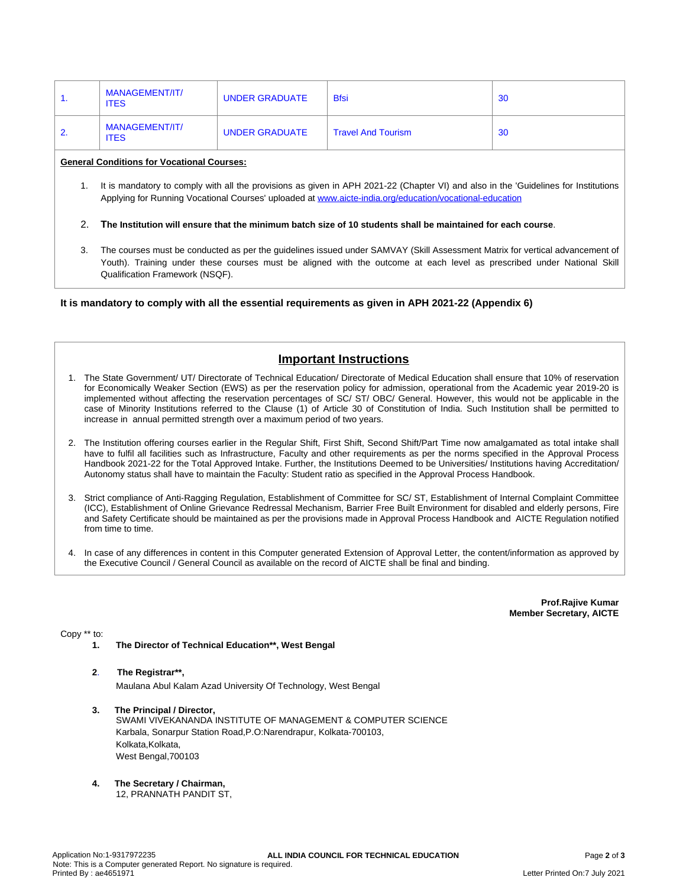| . . | MANAGEMENT/IT/<br><b>ITES</b> | UNDER GRADUATE | <b>Bfsi</b>               | -30 |
|-----|-------------------------------|----------------|---------------------------|-----|
|     | MANAGEMENT/IT/<br><b>ITES</b> | UNDER GRADUATE | <b>Travel And Tourism</b> | 30  |

### **General Conditions for Vocational Courses:**

- 1. It is mandatory to comply with all the provisions as given in APH 2021-22 (Chapter VI) and also in the 'Guidelines for Institutions Applying for Running Vocational Courses' uploaded at [www.aicte-india.org/education/vocational-education](https://www.aicte-india.org/education/vocational-education)
- 2. The Institution will ensure that the minimum batch size of 10 students shall be maintained for each course.
- 3. The courses must be conducted as per the guidelines issued under SAMVAY (Skill Assessment Matrix for vertical advancement of Youth). Training under these courses must be aligned with the outcome at each level as prescribed under National Skill Qualification Framework (NSQF).

**It is mandatory to comply with all the essential requirements as given in APH 2021-22 (Appendix 6)**

# **Important Instructions**

- 1. The State Government/ UT/ Directorate of Technical Education/ Directorate of Medical Education shall ensure that 10% of reservation for Economically Weaker Section (EWS) as per the reservation policy for admission, operational from the Academic year 2019-20 is implemented without affecting the reservation percentages of SC/ ST/ OBC/ General. However, this would not be applicable in the case of Minority Institutions referred to the Clause (1) of Article 30 of Constitution of India. Such Institution shall be permitted to increase in annual permitted strength over a maximum period of two years.
- 2. The Institution offering courses earlier in the Regular Shift, First Shift, Second Shift/Part Time now amalgamated as total intake shall have to fulfil all facilities such as Infrastructure, Faculty and other requirements as per the norms specified in the Approval Process Handbook 2021-22 for the Total Approved Intake. Further, the Institutions Deemed to be Universities/ Institutions having Accreditation/ Autonomy status shall have to maintain the Faculty: Student ratio as specified in the Approval Process Handbook.
- 3. Strict compliance of Anti-Ragging Regulation, Establishment of Committee for SC/ ST, Establishment of Internal Complaint Committee (ICC), Establishment of Online Grievance Redressal Mechanism, Barrier Free Built Environment for disabled and elderly persons, Fire and Safety Certificate should be maintained as per the provisions made in Approval Process Handbook and AICTE Regulation notified from time to time.
- 4. In case of any differences in content in this Computer generated Extension of Approval Letter, the content/information as approved by the Executive Council / General Council as available on the record of AICTE shall be final and binding.

**Prof.Rajive Kumar Member Secretary, AICTE**

Copy \*\* to:

**1. The Director of Technical Education\*\*, West Bengal**

### **2**. **The Registrar\*\*,**

Maulana Abul Kalam Azad University Of Technology, West Bengal

- **3. The Principal / Director,** SWAMI VIVEKANANDA INSTITUTE OF MANAGEMENT & COMPUTER SCIENCE Karbala, Sonarpur Station Road,P.O:Narendrapur, Kolkata-700103, Kolkata, Kolkata, West Bengal,700103
- **4. The Secretary / Chairman,**

12, PRANNATH PANDIT ST,